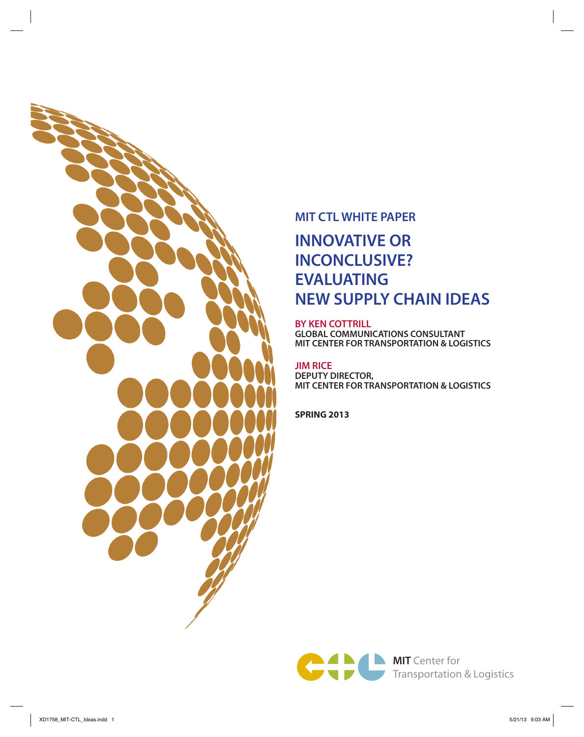

# **MIT CTL WHITE PAPER**

# **INNOVATIVE OR INCONCLUSIVE? EVALUATING NEW SUPPLY CHAIN IDEAS**

#### **BY KEN COTTRILL**

**GLOBAL COMMUNICATIONS CONSULTANT MIT CENTER FOR TRANSPORTATION & LOGISTICS**

#### **JIM RICE DEPUTY DIRECTOR, MIT CENTER FOR TRANSPORTATION & LOGISTICS**

**SPRING 2013**

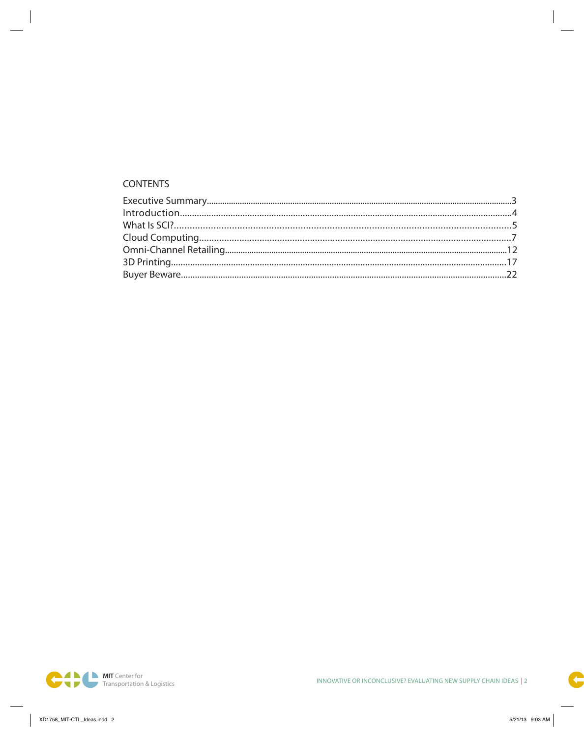### **CONTENTS**

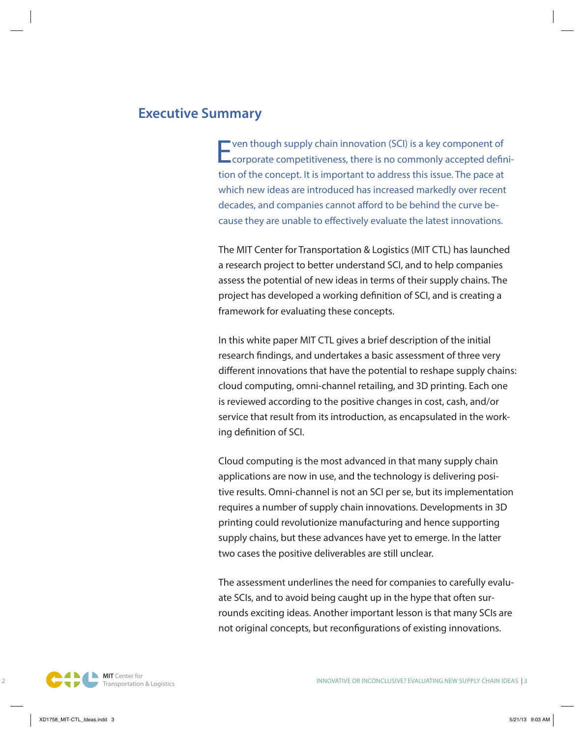# **Executive Summary**

 $\blacksquare$  ven though supply chain innovation (SCI) is a key component of **L** corporate competitiveness, there is no commonly accepted definition of the concept. It is important to address this issue. The pace at which new ideas are introduced has increased markedly over recent decades, and companies cannot afford to be behind the curve because they are unable to effectively evaluate the latest innovations.

The MIT Center for Transportation & Logistics (MIT CTL) has launched a research project to better understand SCI, and to help companies assess the potential of new ideas in terms of their supply chains. The project has developed a working definition of SCI, and is creating a framework for evaluating these concepts.

In this white paper MIT CTL gives a brief description of the initial research findings, and undertakes a basic assessment of three very different innovations that have the potential to reshape supply chains: cloud computing, omni-channel retailing, and 3D printing. Each one is reviewed according to the positive changes in cost, cash, and/or service that result from its introduction, as encapsulated in the working definition of SCI.

Cloud computing is the most advanced in that many supply chain applications are now in use, and the technology is delivering positive results. Omni-channel is not an SCI per se, but its implementation requires a number of supply chain innovations. Developments in 3D printing could revolutionize manufacturing and hence supporting supply chains, but these advances have yet to emerge. In the latter two cases the positive deliverables are still unclear.

The assessment underlines the need for companies to carefully evaluate SCIs, and to avoid being caught up in the hype that often surrounds exciting ideas. Another important lesson is that many SCIs are not original concepts, but reconfigurations of existing innovations.

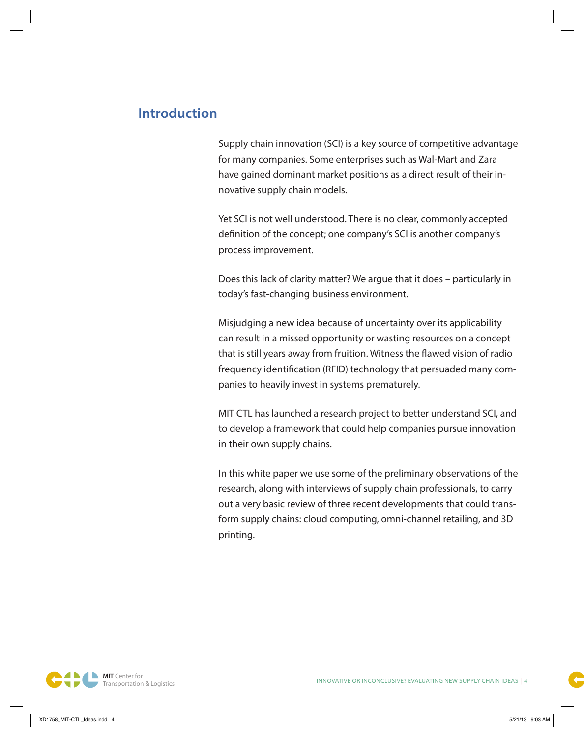# **Introduction**

Supply chain innovation (SCI) is a key source of competitive advantage for many companies. Some enterprises such as Wal-Mart and Zara have gained dominant market positions as a direct result of their innovative supply chain models.

Yet SCI is not well understood. There is no clear, commonly accepted definition of the concept; one company's SCI is another company's process improvement.

Does this lack of clarity matter? We argue that it does – particularly in today's fast-changing business environment.

Misjudging a new idea because of uncertainty over its applicability can result in a missed opportunity or wasting resources on a concept that is still years away from fruition. Witness the flawed vision of radio frequency identification (RFID) technology that persuaded many companies to heavily invest in systems prematurely.

MIT CTL has launched a research project to better understand SCI, and to develop a framework that could help companies pursue innovation in their own supply chains.

In this white paper we use some of the preliminary observations of the research, along with interviews of supply chain professionals, to carry out a very basic review of three recent developments that could transform supply chains: cloud computing, omni-channel retailing, and 3D printing.

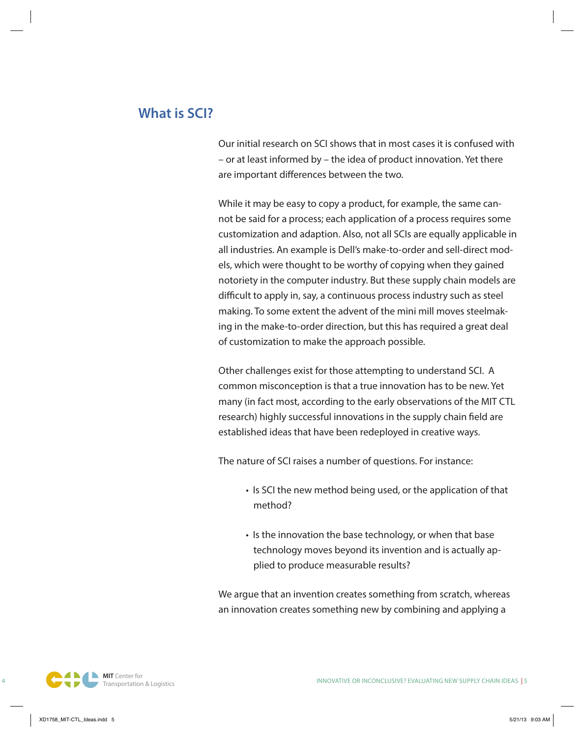# **What is SCI?**

Our initial research on SCI shows that in most cases it is confused with – or at least informed by – the idea of product innovation. Yet there are important differences between the two.

While it may be easy to copy a product, for example, the same cannot be said for a process; each application of a process requires some customization and adaption. Also, not all SCIs are equally applicable in all industries. An example is Dell's make-to-order and sell-direct models, which were thought to be worthy of copying when they gained notoriety in the computer industry. But these supply chain models are difficult to apply in, say, a continuous process industry such as steel making. To some extent the advent of the mini mill moves steelmaking in the make-to-order direction, but this has required a great deal of customization to make the approach possible.

Other challenges exist for those attempting to understand SCI. A common misconception is that a true innovation has to be new. Yet many (in fact most, according to the early observations of the MIT CTL research) highly successful innovations in the supply chain field are established ideas that have been redeployed in creative ways.

The nature of SCI raises a number of questions. For instance:

- Is SCI the new method being used, or the application of that method?
- Is the innovation the base technology, or when that base technology moves beyond its invention and is actually applied to produce measurable results?

We argue that an invention creates something from scratch, whereas an innovation creates something new by combining and applying a

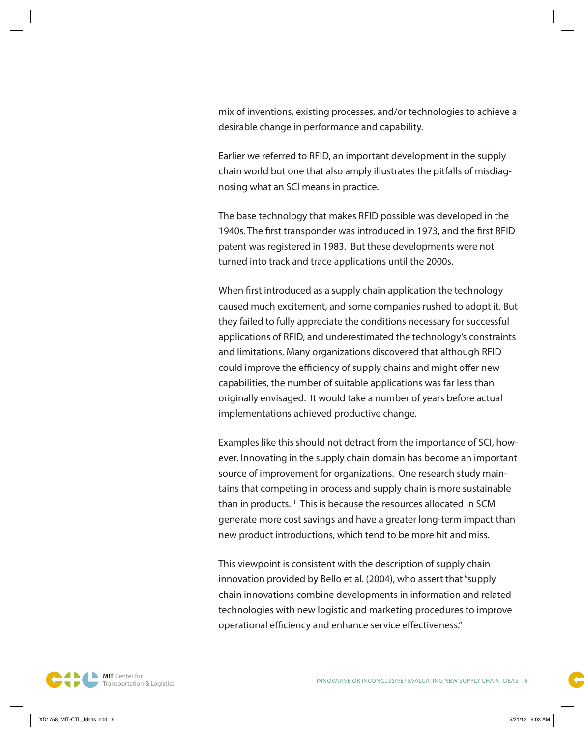mix of inventions, existing processes, and/or technologies to achieve a desirable change in performance and capability.

Earlier we referred to RFID, an important development in the supply chain world but one that also amply illustrates the pitfalls of misdiagnosing what an SCI means in practice.

The base technology that makes RFID possible was developed in the 1940s. The first transponder was introduced in 1973, and the first RFID patent was registered in 1983. But these developments were not turned into track and trace applications until the 2000s.

When first introduced as a supply chain application the technology caused much excitement, and some companies rushed to adopt it. But they failed to fully appreciate the conditions necessary for successful applications of RFID, and underestimated the technology's constraints and limitations. Many organizations discovered that although RFID could improve the efficiency of supply chains and might offer new capabilities, the number of suitable applications was far less than originally envisaged. It would take a number of years before actual implementations achieved productive change.

Examples like this should not detract from the importance of SCI, however. Innovating in the supply chain domain has become an important source of improvement for organizations. One research study maintains that competing in process and supply chain is more sustainable than in products.<sup>1</sup> This is because the resources allocated in SCM generate more cost savings and have a greater long-term impact than new product introductions, which tend to be more hit and miss.

This viewpoint is consistent with the description of supply chain innovation provided by Bello et al. (2004), who assert that "supply chain innovations combine developments in information and related technologies with new logistic and marketing procedures to improve operational efficiency and enhance service effectiveness."

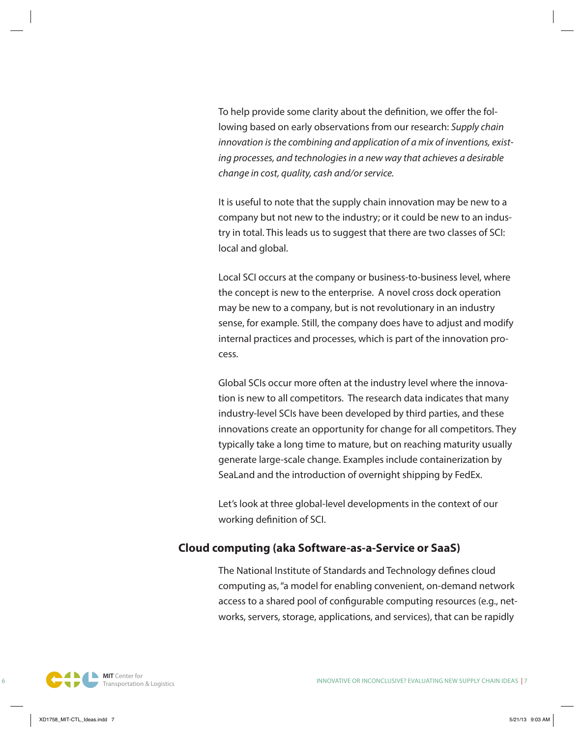To help provide some clarity about the definition, we offer the following based on early observations from our research: *Supply chain innovation is the combining and application of a mix of inventions, existing processes, and technologies in a new way that achieves a desirable change in cost, quality, cash and/or service.*

It is useful to note that the supply chain innovation may be new to a company but not new to the industry; or it could be new to an industry in total. This leads us to suggest that there are two classes of SCI: local and global.

Local SCI occurs at the company or business-to-business level, where the concept is new to the enterprise. A novel cross dock operation may be new to a company, but is not revolutionary in an industry sense, for example. Still, the company does have to adjust and modify internal practices and processes, which is part of the innovation process.

Global SCIs occur more often at the industry level where the innovation is new to all competitors. The research data indicates that many industry-level SCIs have been developed by third parties, and these innovations create an opportunity for change for all competitors. They typically take a long time to mature, but on reaching maturity usually generate large-scale change. Examples include containerization by SeaLand and the introduction of overnight shipping by FedEx.

Let's look at three global-level developments in the context of our working definition of SCI.

# **Cloud computing (aka Software-as-a-Service or SaaS)**

The National Institute of Standards and Technology defines cloud computing as, "a model for enabling convenient, on-demand network access to a shared pool of configurable computing resources (e.g., networks, servers, storage, applications, and services), that can be rapidly

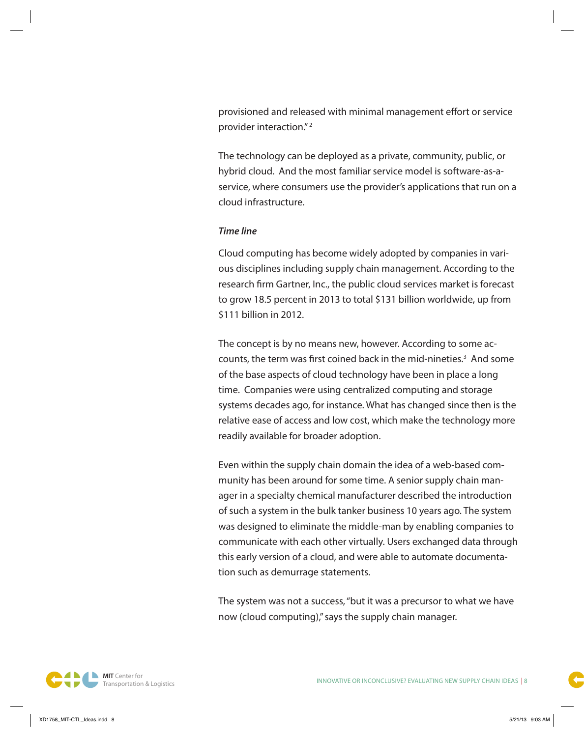provisioned and released with minimal management effort or service provider interaction." 2

The technology can be deployed as a private, community, public, or hybrid cloud. And the most familiar service model is software-as-aservice, where consumers use the provider's applications that run on a cloud infrastructure.

#### *Time line*

Cloud computing has become widely adopted by companies in various disciplines including supply chain management. According to the research firm Gartner, Inc., the public cloud services market is forecast to grow 18.5 percent in 2013 to total \$131 billion worldwide, up from \$111 billion in 2012.

The concept is by no means new, however. According to some accounts, the term was first coined back in the mid-nineties.<sup>3</sup> And some of the base aspects of cloud technology have been in place a long time. Companies were using centralized computing and storage systems decades ago, for instance. What has changed since then is the relative ease of access and low cost, which make the technology more readily available for broader adoption.

Even within the supply chain domain the idea of a web-based community has been around for some time. A senior supply chain manager in a specialty chemical manufacturer described the introduction of such a system in the bulk tanker business 10 years ago. The system was designed to eliminate the middle-man by enabling companies to communicate with each other virtually. Users exchanged data through this early version of a cloud, and were able to automate documentation such as demurrage statements.

The system was not a success, "but it was a precursor to what we have now (cloud computing)," says the supply chain manager.

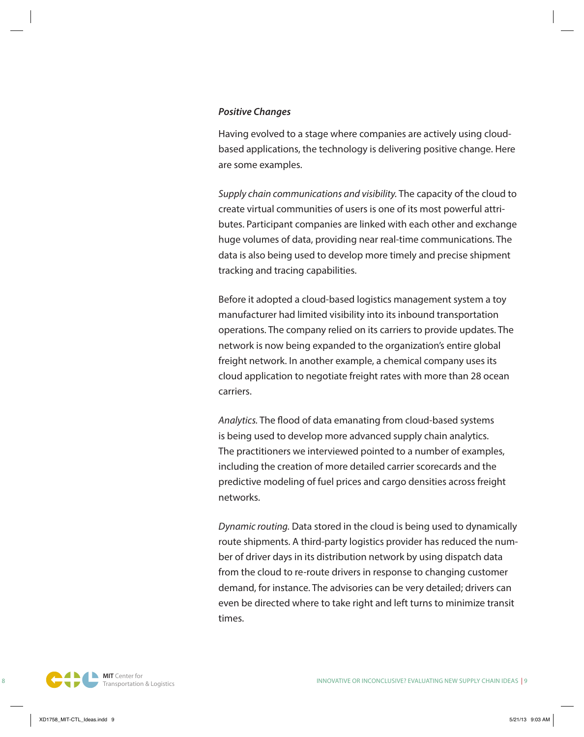#### *Positive Changes*

Having evolved to a stage where companies are actively using cloudbased applications, the technology is delivering positive change. Here are some examples.

*Supply chain communications and visibility.* The capacity of the cloud to create virtual communities of users is one of its most powerful attributes. Participant companies are linked with each other and exchange huge volumes of data, providing near real-time communications. The data is also being used to develop more timely and precise shipment tracking and tracing capabilities.

Before it adopted a cloud-based logistics management system a toy manufacturer had limited visibility into its inbound transportation operations. The company relied on its carriers to provide updates. The network is now being expanded to the organization's entire global freight network. In another example, a chemical company uses its cloud application to negotiate freight rates with more than 28 ocean carriers.

*Analytics.* The flood of data emanating from cloud-based systems is being used to develop more advanced supply chain analytics. The practitioners we interviewed pointed to a number of examples, including the creation of more detailed carrier scorecards and the predictive modeling of fuel prices and cargo densities across freight networks.

*Dynamic routing.* Data stored in the cloud is being used to dynamically route shipments. A third-party logistics provider has reduced the number of driver days in its distribution network by using dispatch data from the cloud to re-route drivers in response to changing customer demand, for instance. The advisories can be very detailed; drivers can even be directed where to take right and left turns to minimize transit times.

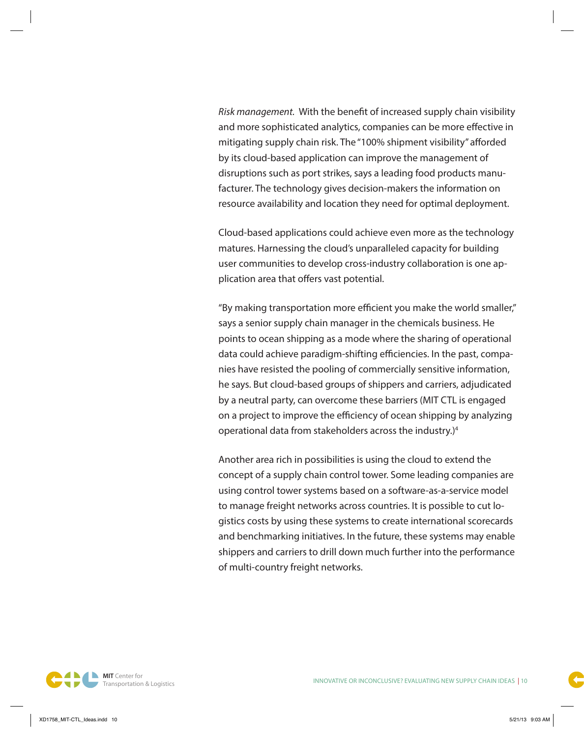*Risk management.* With the benefit of increased supply chain visibility and more sophisticated analytics, companies can be more effective in mitigating supply chain risk. The "100% shipment visibility" afforded by its cloud-based application can improve the management of disruptions such as port strikes, says a leading food products manufacturer. The technology gives decision-makers the information on resource availability and location they need for optimal deployment.

Cloud-based applications could achieve even more as the technology matures. Harnessing the cloud's unparalleled capacity for building user communities to develop cross-industry collaboration is one application area that offers vast potential.

"By making transportation more efficient you make the world smaller," says a senior supply chain manager in the chemicals business. He points to ocean shipping as a mode where the sharing of operational data could achieve paradigm-shifting efficiencies. In the past, companies have resisted the pooling of commercially sensitive information, he says. But cloud-based groups of shippers and carriers, adjudicated by a neutral party, can overcome these barriers (MIT CTL is engaged on a project to improve the efficiency of ocean shipping by analyzing operational data from stakeholders across the industry.)4

Another area rich in possibilities is using the cloud to extend the concept of a supply chain control tower. Some leading companies are using control tower systems based on a software-as-a-service model to manage freight networks across countries. It is possible to cut logistics costs by using these systems to create international scorecards and benchmarking initiatives. In the future, these systems may enable shippers and carriers to drill down much further into the performance of multi-country freight networks.

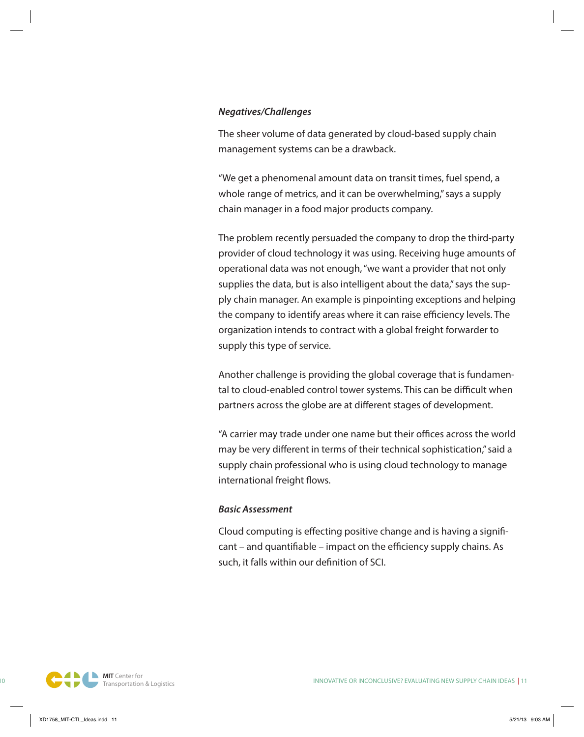#### *Negatives/Challenges*

The sheer volume of data generated by cloud-based supply chain management systems can be a drawback.

"We get a phenomenal amount data on transit times, fuel spend, a whole range of metrics, and it can be overwhelming," says a supply chain manager in a food major products company.

The problem recently persuaded the company to drop the third-party provider of cloud technology it was using. Receiving huge amounts of operational data was not enough, "we want a provider that not only supplies the data, but is also intelligent about the data," says the supply chain manager. An example is pinpointing exceptions and helping the company to identify areas where it can raise efficiency levels. The organization intends to contract with a global freight forwarder to supply this type of service.

Another challenge is providing the global coverage that is fundamental to cloud-enabled control tower systems. This can be difficult when partners across the globe are at different stages of development.

"A carrier may trade under one name but their offices across the world may be very different in terms of their technical sophistication," said a supply chain professional who is using cloud technology to manage international freight flows.

#### *Basic Assessment*

Cloud computing is effecting positive change and is having a significant – and quantifiable – impact on the efficiency supply chains. As such, it falls within our definition of SCI.

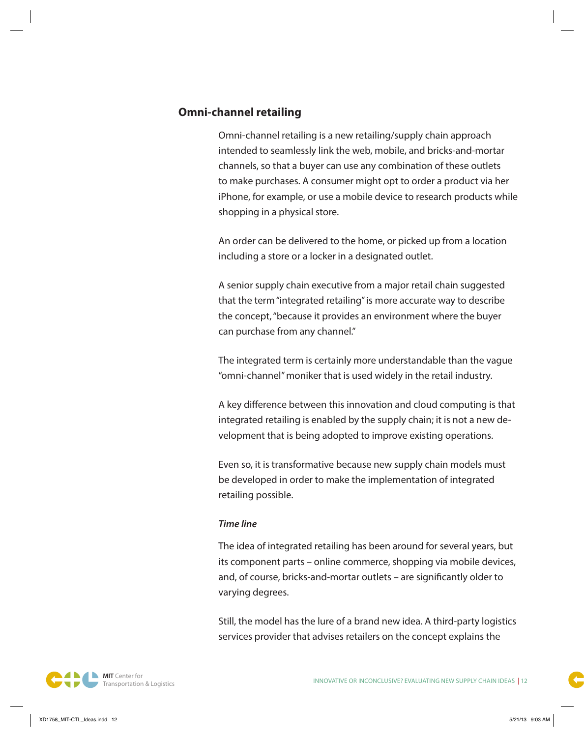# **Omni-channel retailing**

Omni-channel retailing is a new retailing/supply chain approach intended to seamlessly link the web, mobile, and bricks-and-mortar channels, so that a buyer can use any combination of these outlets to make purchases. A consumer might opt to order a product via her iPhone, for example, or use a mobile device to research products while shopping in a physical store.

An order can be delivered to the home, or picked up from a location including a store or a locker in a designated outlet.

A senior supply chain executive from a major retail chain suggested that the term "integrated retailing" is more accurate way to describe the concept, "because it provides an environment where the buyer can purchase from any channel."

The integrated term is certainly more understandable than the vague "omni-channel" moniker that is used widely in the retail industry.

A key difference between this innovation and cloud computing is that integrated retailing is enabled by the supply chain; it is not a new development that is being adopted to improve existing operations.

Even so, it is transformative because new supply chain models must be developed in order to make the implementation of integrated retailing possible.

#### *Time line*

The idea of integrated retailing has been around for several years, but its component parts – online commerce, shopping via mobile devices, and, of course, bricks-and-mortar outlets – are significantly older to varying degrees.

Still, the model has the lure of a brand new idea. A third-party logistics services provider that advises retailers on the concept explains the

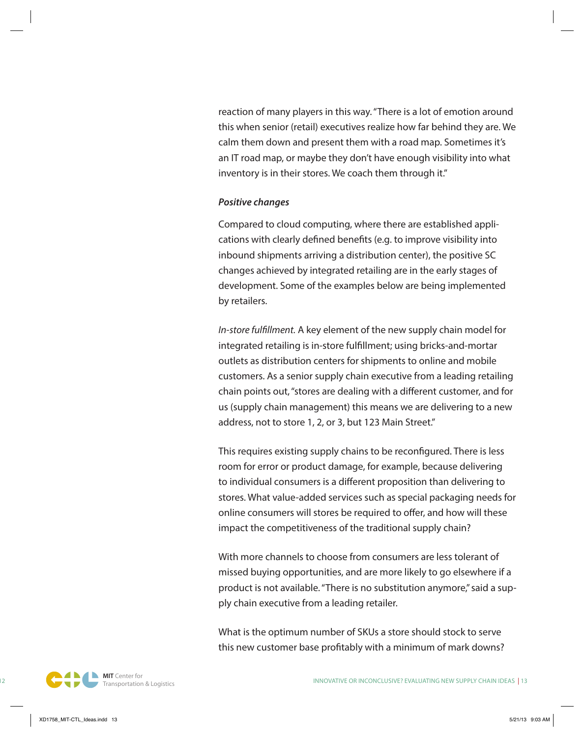reaction of many players in this way. "There is a lot of emotion around this when senior (retail) executives realize how far behind they are. We calm them down and present them with a road map. Sometimes it's an IT road map, or maybe they don't have enough visibility into what inventory is in their stores. We coach them through it."

#### *Positive changes*

Compared to cloud computing, where there are established applications with clearly defined benefits (e.g. to improve visibility into inbound shipments arriving a distribution center), the positive SC changes achieved by integrated retailing are in the early stages of development. Some of the examples below are being implemented by retailers.

*In-store fulfillment.* A key element of the new supply chain model for integrated retailing is in-store fulfillment; using bricks-and-mortar outlets as distribution centers for shipments to online and mobile customers. As a senior supply chain executive from a leading retailing chain points out, "stores are dealing with a different customer, and for us (supply chain management) this means we are delivering to a new address, not to store 1, 2, or 3, but 123 Main Street."

This requires existing supply chains to be reconfigured. There is less room for error or product damage, for example, because delivering to individual consumers is a different proposition than delivering to stores. What value-added services such as special packaging needs for online consumers will stores be required to offer, and how will these impact the competitiveness of the traditional supply chain?

With more channels to choose from consumers are less tolerant of missed buying opportunities, and are more likely to go elsewhere if a product is not available. "There is no substitution anymore," said a supply chain executive from a leading retailer.

What is the optimum number of SKUs a store should stock to serve this new customer base profitably with a minimum of mark downs?

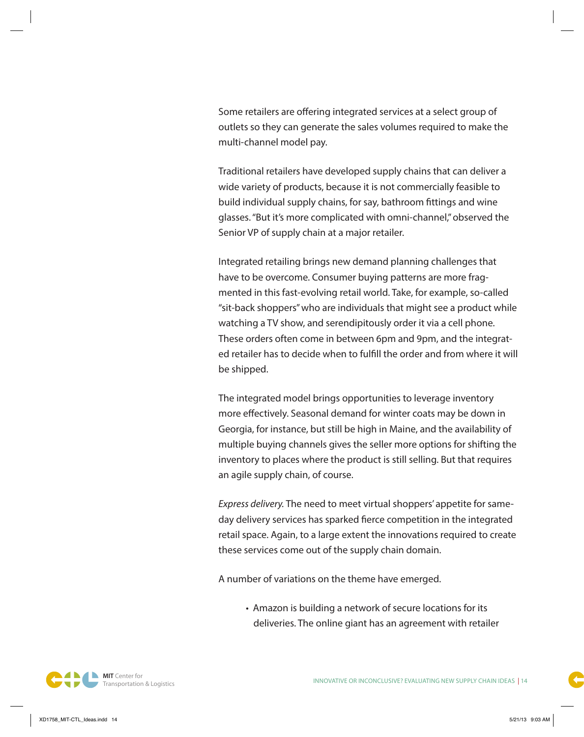Some retailers are offering integrated services at a select group of outlets so they can generate the sales volumes required to make the multi-channel model pay.

Traditional retailers have developed supply chains that can deliver a wide variety of products, because it is not commercially feasible to build individual supply chains, for say, bathroom fittings and wine glasses. "But it's more complicated with omni-channel," observed the Senior VP of supply chain at a major retailer.

Integrated retailing brings new demand planning challenges that have to be overcome. Consumer buying patterns are more fragmented in this fast-evolving retail world. Take, for example, so-called "sit-back shoppers" who are individuals that might see a product while watching a TV show, and serendipitously order it via a cell phone. These orders often come in between 6pm and 9pm, and the integrated retailer has to decide when to fulfill the order and from where it will be shipped.

The integrated model brings opportunities to leverage inventory more effectively. Seasonal demand for winter coats may be down in Georgia, for instance, but still be high in Maine, and the availability of multiple buying channels gives the seller more options for shifting the inventory to places where the product is still selling. But that requires an agile supply chain, of course.

*Express delivery.* The need to meet virtual shoppers' appetite for sameday delivery services has sparked fierce competition in the integrated retail space. Again, to a large extent the innovations required to create these services come out of the supply chain domain.

A number of variations on the theme have emerged.

• Amazon is building a network of secure locations for its deliveries. The online giant has an agreement with retailer

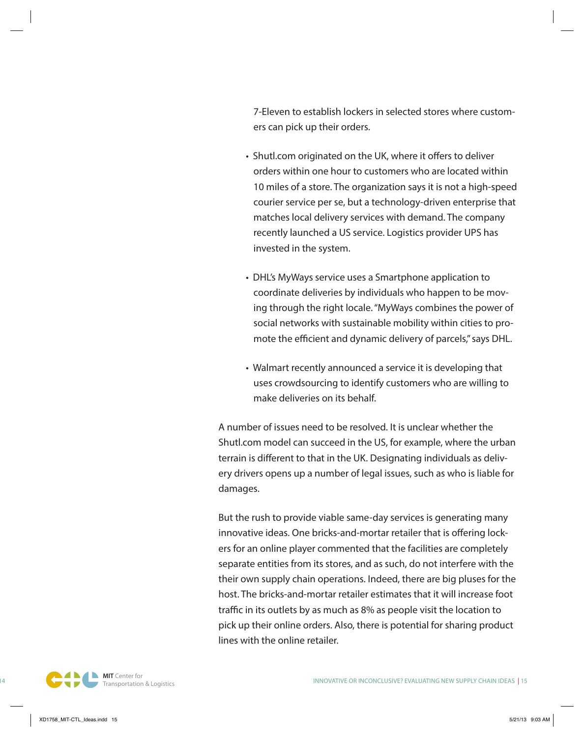7-Eleven to establish lockers in selected stores where customers can pick up their orders.

- Shutl.com originated on the UK, where it offers to deliver orders within one hour to customers who are located within 10 miles of a store. The organization says it is not a high-speed courier service per se, but a technology-driven enterprise that matches local delivery services with demand. The company recently launched a US service. Logistics provider UPS has invested in the system.
- DHL's MyWays service uses a Smartphone application to coordinate deliveries by individuals who happen to be moving through the right locale. "MyWays combines the power of social networks with sustainable mobility within cities to promote the efficient and dynamic delivery of parcels," says DHL.
- Walmart recently announced a service it is developing that uses crowdsourcing to identify customers who are willing to make deliveries on its behalf.

A number of issues need to be resolved. It is unclear whether the Shutl.com model can succeed in the US, for example, where the urban terrain is different to that in the UK. Designating individuals as delivery drivers opens up a number of legal issues, such as who is liable for damages.

But the rush to provide viable same-day services is generating many innovative ideas. One bricks-and-mortar retailer that is offering lockers for an online player commented that the facilities are completely separate entities from its stores, and as such, do not interfere with the their own supply chain operations. Indeed, there are big pluses for the host. The bricks-and-mortar retailer estimates that it will increase foot traffic in its outlets by as much as 8% as people visit the location to pick up their online orders. Also, there is potential for sharing product lines with the online retailer.

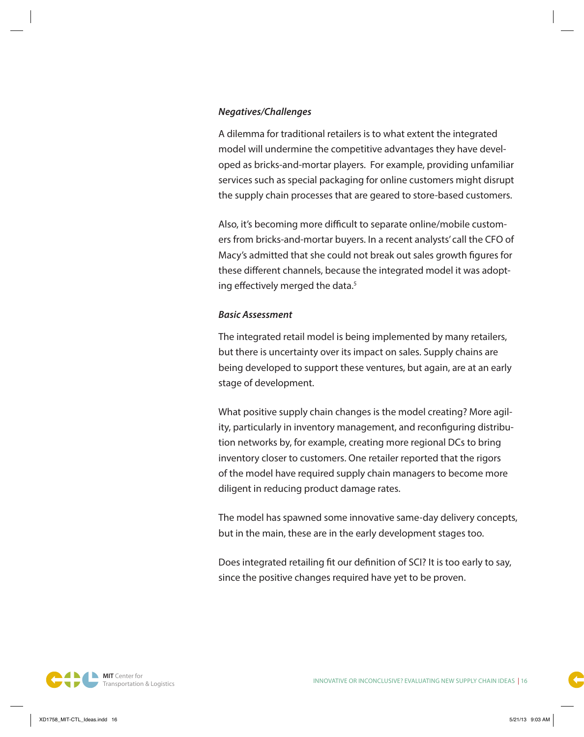#### *Negatives/Challenges*

A dilemma for traditional retailers is to what extent the integrated model will undermine the competitive advantages they have developed as bricks-and-mortar players. For example, providing unfamiliar services such as special packaging for online customers might disrupt the supply chain processes that are geared to store-based customers.

Also, it's becoming more difficult to separate online/mobile customers from bricks-and-mortar buyers. In a recent analysts' call the CFO of Macy's admitted that she could not break out sales growth figures for these different channels, because the integrated model it was adopting effectively merged the data.<sup>5</sup>

#### *Basic Assessment*

The integrated retail model is being implemented by many retailers, but there is uncertainty over its impact on sales. Supply chains are being developed to support these ventures, but again, are at an early stage of development.

What positive supply chain changes is the model creating? More agility, particularly in inventory management, and reconfiguring distribution networks by, for example, creating more regional DCs to bring inventory closer to customers. One retailer reported that the rigors of the model have required supply chain managers to become more diligent in reducing product damage rates.

The model has spawned some innovative same-day delivery concepts, but in the main, these are in the early development stages too.

Does integrated retailing fit our definition of SCI? It is too early to say, since the positive changes required have yet to be proven.

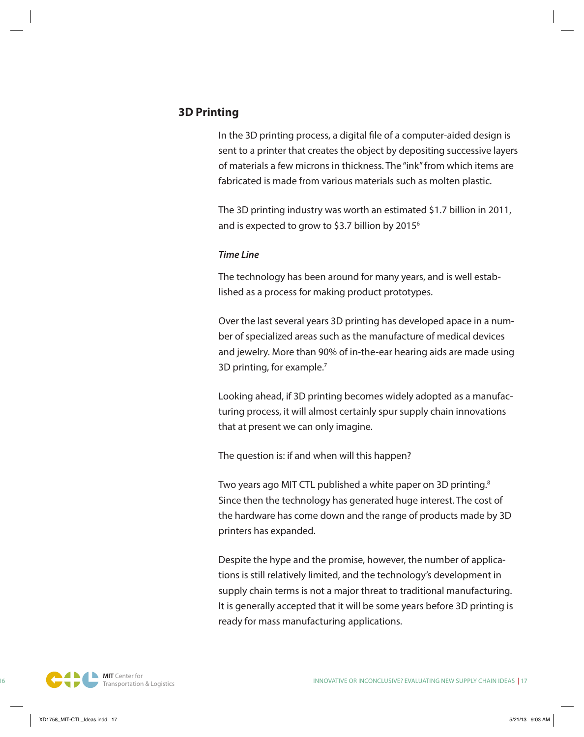# **3D Printing**

In the 3D printing process, a digital file of a computer-aided design is sent to a printer that creates the object by depositing successive layers of materials a few microns in thickness. The "ink" from which items are fabricated is made from various materials such as molten plastic.

The 3D printing industry was worth an estimated \$1.7 billion in 2011, and is expected to grow to \$3.7 billion by  $2015<sup>6</sup>$ 

#### *Time Line*

The technology has been around for many years, and is well established as a process for making product prototypes.

Over the last several years 3D printing has developed apace in a number of specialized areas such as the manufacture of medical devices and jewelry. More than 90% of in-the-ear hearing aids are made using 3D printing, for example.7

Looking ahead, if 3D printing becomes widely adopted as a manufacturing process, it will almost certainly spur supply chain innovations that at present we can only imagine.

The question is: if and when will this happen?

Two years ago MIT CTL published a white paper on 3D printing. $8$ Since then the technology has generated huge interest. The cost of the hardware has come down and the range of products made by 3D printers has expanded.

Despite the hype and the promise, however, the number of applications is still relatively limited, and the technology's development in supply chain terms is not a major threat to traditional manufacturing. It is generally accepted that it will be some years before 3D printing is ready for mass manufacturing applications.

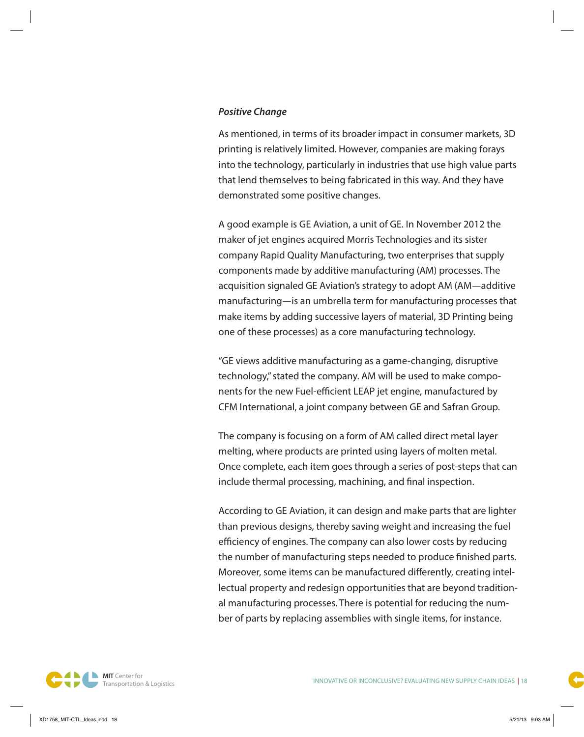#### *Positive Change*

As mentioned, in terms of its broader impact in consumer markets, 3D printing is relatively limited. However, companies are making forays into the technology, particularly in industries that use high value parts that lend themselves to being fabricated in this way. And they have demonstrated some positive changes.

A good example is GE Aviation, a unit of GE. In November 2012 the maker of jet engines acquired Morris Technologies and its sister company Rapid Quality Manufacturing, two enterprises that supply components made by additive manufacturing (AM) processes. The acquisition signaled GE Aviation's strategy to adopt AM (AM—additive manufacturing—is an umbrella term for manufacturing processes that make items by adding successive layers of material, 3D Printing being one of these processes) as a core manufacturing technology.

"GE views additive manufacturing as a game-changing, disruptive technology," stated the company. AM will be used to make components for the new Fuel-efficient LEAP jet engine, manufactured by CFM International, a joint company between GE and Safran Group.

The company is focusing on a form of AM called direct metal layer melting, where products are printed using layers of molten metal. Once complete, each item goes through a series of post-steps that can include thermal processing, machining, and final inspection.

According to GE Aviation, it can design and make parts that are lighter than previous designs, thereby saving weight and increasing the fuel efficiency of engines. The company can also lower costs by reducing the number of manufacturing steps needed to produce finished parts. Moreover, some items can be manufactured differently, creating intellectual property and redesign opportunities that are beyond traditional manufacturing processes. There is potential for reducing the number of parts by replacing assemblies with single items, for instance.

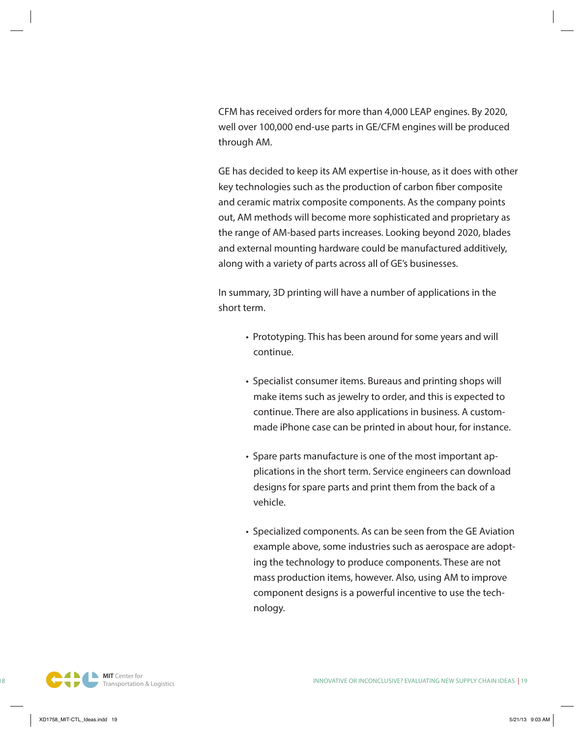CFM has received orders for more than 4,000 LEAP engines. By 2020, well over 100,000 end-use parts in GE/CFM engines will be produced through AM.

GE has decided to keep its AM expertise in-house, as it does with other key technologies such as the production of carbon fiber composite and ceramic matrix composite components. As the company points out, AM methods will become more sophisticated and proprietary as the range of AM-based parts increases. Looking beyond 2020, blades and external mounting hardware could be manufactured additively, along with a variety of parts across all of GE's businesses.

In summary, 3D printing will have a number of applications in the short term.

- Prototyping. This has been around for some years and will continue.
- Specialist consumer items. Bureaus and printing shops will make items such as jewelry to order, and this is expected to continue. There are also applications in business. A custommade iPhone case can be printed in about hour, for instance.
- Spare parts manufacture is one of the most important applications in the short term. Service engineers can download designs for spare parts and print them from the back of a vehicle.
- Specialized components. As can be seen from the GE Aviation example above, some industries such as aerospace are adopting the technology to produce components. These are not mass production items, however. Also, using AM to improve component designs is a powerful incentive to use the technology.

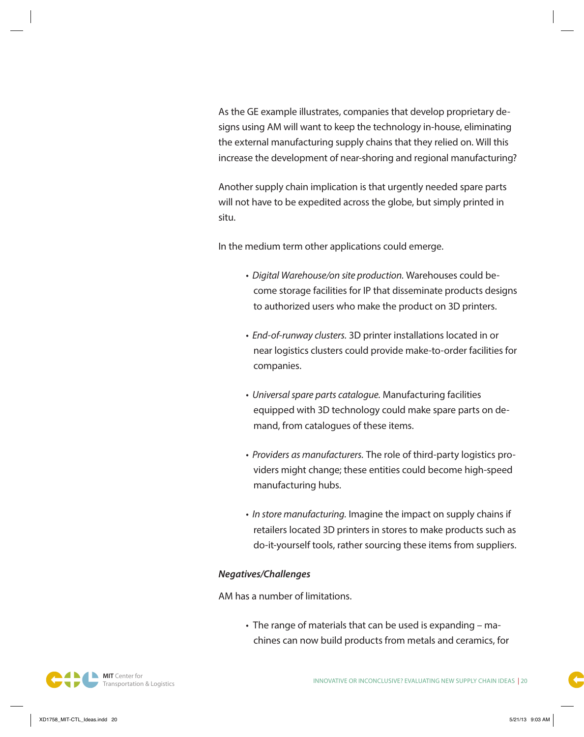As the GE example illustrates, companies that develop proprietary designs using AM will want to keep the technology in-house, eliminating the external manufacturing supply chains that they relied on. Will this increase the development of near-shoring and regional manufacturing?

Another supply chain implication is that urgently needed spare parts will not have to be expedited across the globe, but simply printed in situ.

In the medium term other applications could emerge.

- *Digital Warehouse/on site production.* Warehouses could become storage facilities for IP that disseminate products designs to authorized users who make the product on 3D printers.
- *End-of-runway clusters.* 3D printer installations located in or near logistics clusters could provide make-to-order facilities for companies.
- *Universal spare parts catalogue.* Manufacturing facilities equipped with 3D technology could make spare parts on demand, from catalogues of these items.
- *Providers as manufacturers.* The role of third-party logistics providers might change; these entities could become high-speed manufacturing hubs.
- *In store manufacturing.* Imagine the impact on supply chains if retailers located 3D printers in stores to make products such as do-it-yourself tools, rather sourcing these items from suppliers.

#### *Negatives/Challenges*

AM has a number of limitations.

• The range of materials that can be used is expanding – machines can now build products from metals and ceramics, for

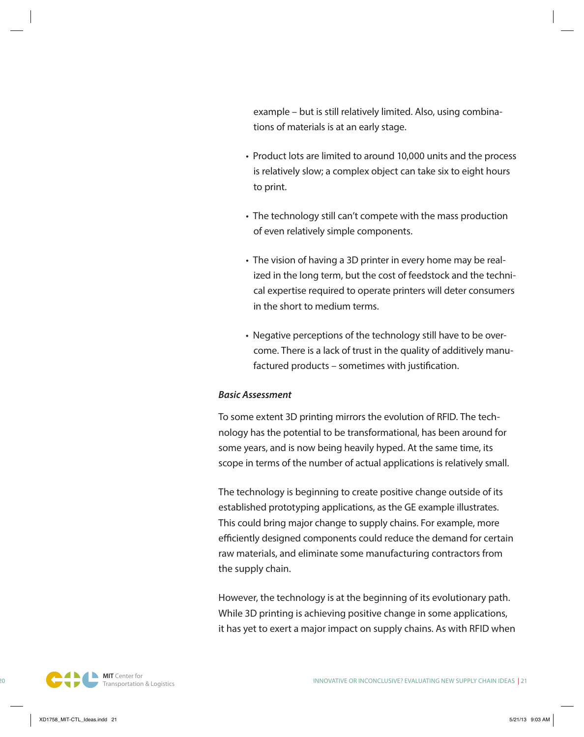example – but is still relatively limited. Also, using combinations of materials is at an early stage.

- Product lots are limited to around 10,000 units and the process is relatively slow; a complex object can take six to eight hours to print.
- The technology still can't compete with the mass production of even relatively simple components.
- The vision of having a 3D printer in every home may be realized in the long term, but the cost of feedstock and the technical expertise required to operate printers will deter consumers in the short to medium terms.
- Negative perceptions of the technology still have to be overcome. There is a lack of trust in the quality of additively manufactured products – sometimes with justification.

#### *Basic Assessment*

To some extent 3D printing mirrors the evolution of RFID. The technology has the potential to be transformational, has been around for some years, and is now being heavily hyped. At the same time, its scope in terms of the number of actual applications is relatively small.

The technology is beginning to create positive change outside of its established prototyping applications, as the GE example illustrates. This could bring major change to supply chains. For example, more efficiently designed components could reduce the demand for certain raw materials, and eliminate some manufacturing contractors from the supply chain.

However, the technology is at the beginning of its evolutionary path. While 3D printing is achieving positive change in some applications, it has yet to exert a major impact on supply chains. As with RFID when

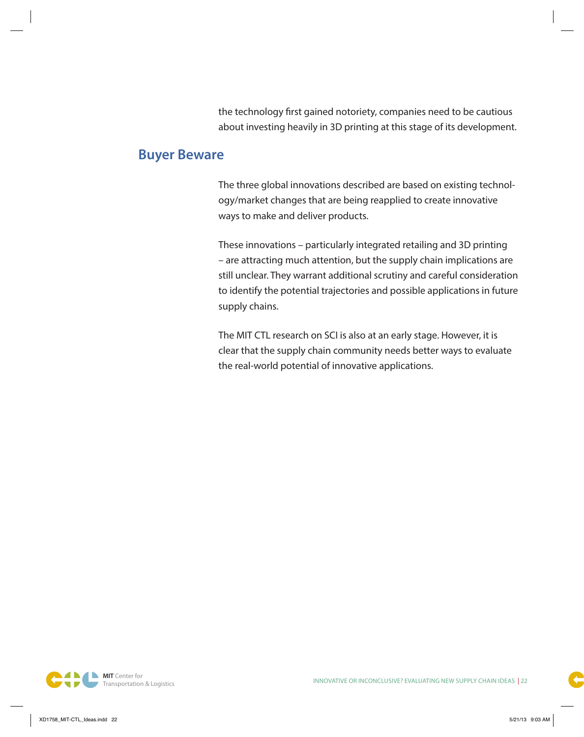the technology first gained notoriety, companies need to be cautious about investing heavily in 3D printing at this stage of its development.

# **Buyer Beware**

The three global innovations described are based on existing technology/market changes that are being reapplied to create innovative ways to make and deliver products.

These innovations – particularly integrated retailing and 3D printing – are attracting much attention, but the supply chain implications are still unclear. They warrant additional scrutiny and careful consideration to identify the potential trajectories and possible applications in future supply chains.

The MIT CTL research on SCI is also at an early stage. However, it is clear that the supply chain community needs better ways to evaluate the real-world potential of innovative applications.